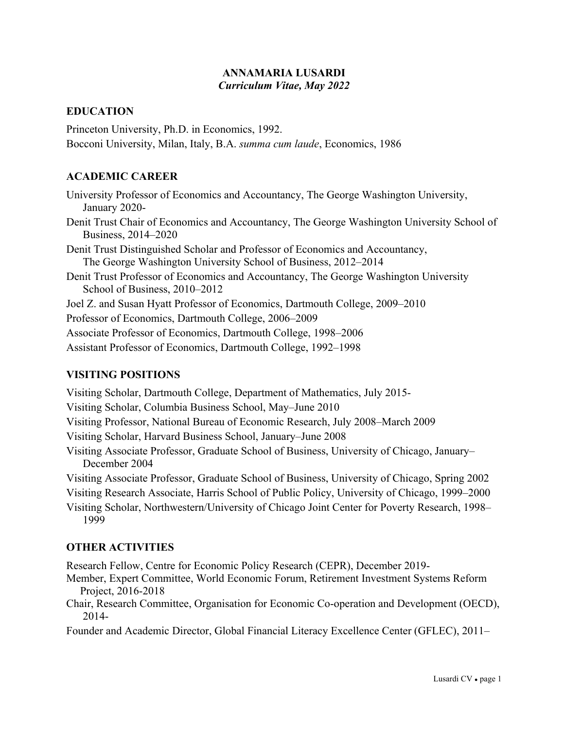### **ANNAMARIA LUSARDI**  *Curriculum Vitae, May 2022*

## **EDUCATION**

Princeton University, Ph.D. in Economics, 1992. Bocconi University, Milan, Italy, B.A. *summa cum laude*, Economics, 1986

# **ACADEMIC CAREER**

University Professor of Economics and Accountancy, The George Washington University, January 2020- Denit Trust Chair of Economics and Accountancy, The George Washington University School of Business, 2014–2020 Denit Trust Distinguished Scholar and Professor of Economics and Accountancy, The George Washington University School of Business, 2012–2014 Denit Trust Professor of Economics and Accountancy, The George Washington University School of Business, 2010–2012 Joel Z. and Susan Hyatt Professor of Economics, Dartmouth College, 2009–2010 Professor of Economics, Dartmouth College, 2006–2009 Associate Professor of Economics, Dartmouth College, 1998–2006 Assistant Professor of Economics, Dartmouth College, 1992–1998

# **VISITING POSITIONS**

Visiting Scholar, Dartmouth College, Department of Mathematics, July 2015- Visiting Scholar, Columbia Business School, May–June 2010 Visiting Professor, National Bureau of Economic Research, July 2008–March 2009 Visiting Scholar, Harvard Business School, January–June 2008 Visiting Associate Professor, Graduate School of Business, University of Chicago, January– December 2004 Visiting Associate Professor, Graduate School of Business, University of Chicago, Spring 2002 Visiting Research Associate, Harris School of Public Policy, University of Chicago, 1999–2000 Visiting Scholar, Northwestern/University of Chicago Joint Center for Poverty Research, 1998– 1999

# **OTHER ACTIVITIES**

Research Fellow, Centre for Economic Policy Research (CEPR), December 2019-

- Member, Expert Committee, World Economic Forum, Retirement Investment Systems Reform Project, 2016-2018
- Chair, Research Committee, Organisation for Economic Co-operation and Development (OECD), 2014-

Founder and Academic Director, Global Financial Literacy Excellence Center (GFLEC), 2011–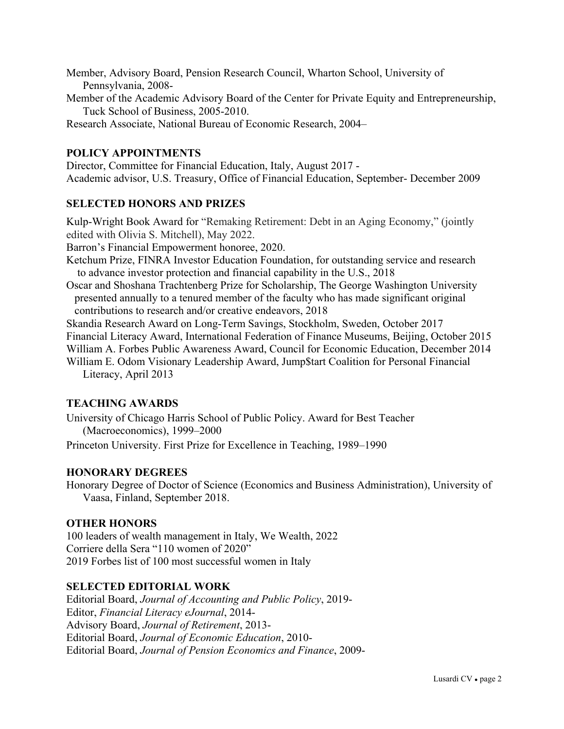- Member, Advisory Board, Pension Research Council, Wharton School, University of Pennsylvania, 2008-
- Member of the Academic Advisory Board of the Center for Private Equity and Entrepreneurship, Tuck School of Business, 2005-2010.
- Research Associate, National Bureau of Economic Research, 2004–

### **POLICY APPOINTMENTS**

Director, Committee for Financial Education, Italy, August 2017 - Academic advisor, U.S. Treasury, Office of Financial Education, September- December 2009

#### **SELECTED HONORS AND PRIZES**

Kulp-Wright Book Award for "Remaking Retirement: Debt in an Aging Economy," (jointly edited with Olivia S. Mitchell), May 2022.

Barron's Financial Empowerment honoree, 2020.

- Ketchum Prize, FINRA Investor Education Foundation, for outstanding service and research to advance investor protection and financial capability in the U.S., 2018
- Oscar and Shoshana Trachtenberg Prize for Scholarship, The George Washington University presented annually to a tenured member of the faculty who has made significant original contributions to research and/or creative endeavors, 2018
- Skandia Research Award on Long-Term Savings, Stockholm, Sweden, October 2017
- Financial Literacy Award, International Federation of Finance Museums, Beijing, October 2015
- William A. Forbes Public Awareness Award, Council for Economic Education, December 2014
- William E. Odom Visionary Leadership Award, Jump\$tart Coalition for Personal Financial Literacy, April 2013

#### **TEACHING AWARDS**

University of Chicago Harris School of Public Policy. Award for Best Teacher (Macroeconomics), 1999–2000

Princeton University. First Prize for Excellence in Teaching, 1989–1990

#### **HONORARY DEGREES**

Honorary Degree of Doctor of Science (Economics and Business Administration), University of Vaasa, Finland, September 2018.

#### **OTHER HONORS**

100 leaders of wealth management in Italy, We Wealth, 2022 Corriere della Sera "110 women of 2020" 2019 Forbes list of 100 most successful women in Italy

#### **SELECTED EDITORIAL WORK**

Editorial Board, *Journal of Accounting and Public Policy*, 2019- Editor, *Financial Literacy eJournal*, 2014- Advisory Board, *Journal of Retirement*, 2013- Editorial Board, *Journal of Economic Education*, 2010- Editorial Board, *Journal of Pension Economics and Finance*, 2009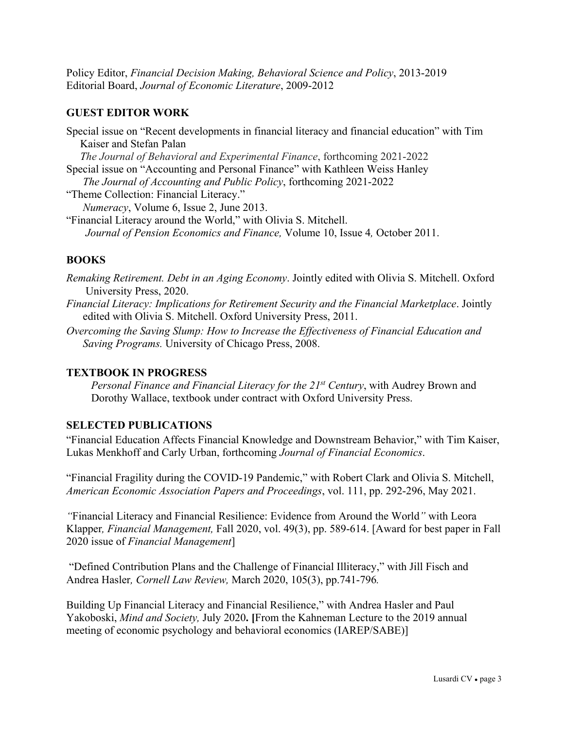Policy Editor, *Financial Decision Making, Behavioral Science and Policy*, 2013-2019 Editorial Board, *Journal of Economic Literature*, 2009-2012

## **GUEST EDITOR WORK**

Special issue on "Recent developments in financial literacy and financial education" with Tim Kaiser and Stefan Palan *The Journal of Behavioral and Experimental Finance*, forthcoming 2021-2022 Special issue on "Accounting and Personal Finance" with Kathleen Weiss Hanley  *The Journal of Accounting and Public Policy*, forthcoming 2021-2022 "Theme Collection: Financial Literacy." *Numeracy*, Volume 6, Issue 2, June 2013. "Financial Literacy around the World," with Olivia S. Mitchell.  *Journal of Pension Economics and Finance,* Volume 10, Issue 4*,* October 2011.

# **BOOKS**

*Remaking Retirement. Debt in an Aging Economy*. Jointly edited with Olivia S. Mitchell. Oxford University Press, 2020.

- *Financial Literacy: Implications for Retirement Security and the Financial Marketplace*. Jointly edited with Olivia S. Mitchell. Oxford University Press, 2011.
- *Overcoming the Saving Slump: How to Increase the Effectiveness of Financial Education and Saving Programs.* University of Chicago Press, 2008.

### **TEXTBOOK IN PROGRESS**

*Personal Finance and Financial Literacy for the 21st Century*, with Audrey Brown and Dorothy Wallace, textbook under contract with Oxford University Press.

# **SELECTED PUBLICATIONS**

"Financial Education Affects Financial Knowledge and Downstream Behavior," with Tim Kaiser, Lukas Menkhoff and Carly Urban, forthcoming *Journal of Financial Economics*.

"Financial Fragility during the COVID-19 Pandemic," with Robert Clark and Olivia S. Mitchell, *American Economic Association Papers and Proceedings*, vol. 111, pp. 292-296, May 2021.

*"*Financial Literacy and Financial Resilience: Evidence from Around the World*"* with Leora Klapper*, Financial Management,* Fall 2020, vol. 49(3), pp. 589-614. [Award for best paper in Fall 2020 issue of *Financial Management*]

 "Defined Contribution Plans and the Challenge of Financial Illiteracy," with Jill Fisch and Andrea Hasler*, Cornell Law Review,* March 2020, 105(3), pp.741-796*.* 

Building Up Financial Literacy and Financial Resilience," with Andrea Hasler and Paul Yakoboski, *Mind and Society,* July 2020**. [**From the Kahneman Lecture to the 2019 annual meeting of economic psychology and behavioral economics (IAREP/SABE)]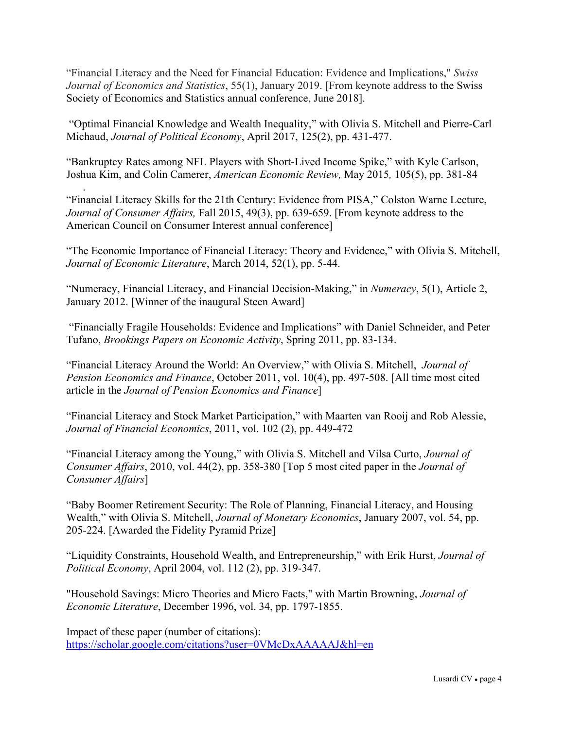"Financial Literacy and the Need for Financial Education: Evidence and Implications," *Swiss Journal of Economics and Statistics*, 55(1), January 2019. [From keynote address to the Swiss Society of Economics and Statistics annual conference, June 2018].

 "Optimal Financial Knowledge and Wealth Inequality," with Olivia S. Mitchell and Pierre-Carl Michaud, *Journal of Political Economy*, April 2017, 125(2), pp. 431-477.

"Bankruptcy Rates among NFL Players with Short-Lived Income Spike," with Kyle Carlson, Joshua Kim, and Colin Camerer, *American Economic Review,* May 2015*,* 105(5), pp. 381-84

.

"Financial Literacy Skills for the 21th Century: Evidence from PISA," Colston Warne Lecture, *Journal of Consumer Affairs,* Fall 2015, 49(3), pp. 639-659. [From keynote address to the American Council on Consumer Interest annual conference]

"The Economic Importance of Financial Literacy: Theory and Evidence," with Olivia S. Mitchell, *Journal of Economic Literature*, March 2014, 52(1), pp. 5-44.

"Numeracy, Financial Literacy, and Financial Decision-Making," in *Numeracy*, 5(1), Article 2, January 2012. [Winner of the inaugural Steen Award]

 "Financially Fragile Households: Evidence and Implications" with Daniel Schneider, and Peter Tufano, *Brookings Papers on Economic Activity*, Spring 2011, pp. 83-134.

"Financial Literacy Around the World: An Overview," with Olivia S. Mitchell, *Journal of Pension Economics and Finance*, October 2011, vol. 10(4), pp. 497-508. [All time most cited article in the *Journal of Pension Economics and Finance*]

"Financial Literacy and Stock Market Participation," with Maarten van Rooij and Rob Alessie, *Journal of Financial Economics*, 2011, vol. 102 (2), pp. 449-472

"Financial Literacy among the Young," with Olivia S. Mitchell and Vilsa Curto, *Journal of Consumer Affairs*, 2010, vol. 44(2), pp. 358-380 [Top 5 most cited paper in the *Journal of Consumer Affairs*]

"Baby Boomer Retirement Security: The Role of Planning, Financial Literacy, and Housing Wealth," with Olivia S. Mitchell, *Journal of Monetary Economics*, January 2007, vol. 54, pp. 205-224. [Awarded the Fidelity Pyramid Prize]

"Liquidity Constraints, Household Wealth, and Entrepreneurship," with Erik Hurst, *Journal of Political Economy*, April 2004, vol. 112 (2), pp. 319-347.

"Household Savings: Micro Theories and Micro Facts," with Martin Browning, *Journal of Economic Literature*, December 1996, vol. 34, pp. 1797-1855.

Impact of these paper (number of citations): https://scholar.google.com/citations?user=0VMcDxAAAAAJ&hl=en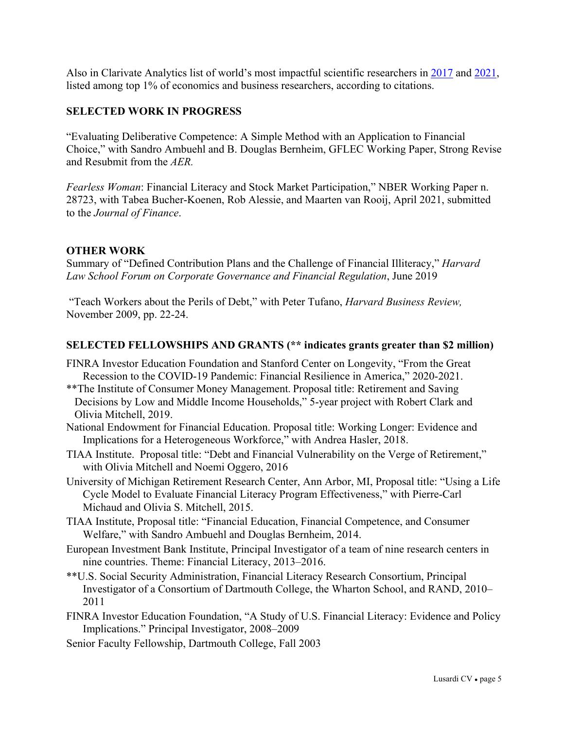Also in Clarivate Analytics list of world's most impactful scientific researchers in 2017 and 2021, listed among top 1% of economics and business researchers, according to citations.

## **SELECTED WORK IN PROGRESS**

"Evaluating Deliberative Competence: A Simple Method with an Application to Financial Choice," with Sandro Ambuehl and B. Douglas Bernheim, GFLEC Working Paper, Strong Revise and Resubmit from the *AER.*

*Fearless Woman*: Financial Literacy and Stock Market Participation," NBER Working Paper n. 28723, with Tabea Bucher-Koenen, Rob Alessie, and Maarten van Rooij, April 2021, submitted to the *Journal of Finance*.

### **OTHER WORK**

Summary of "Defined Contribution Plans and the Challenge of Financial Illiteracy," *Harvard Law School Forum on Corporate Governance and Financial Regulation*, June 2019

 "Teach Workers about the Perils of Debt," with Peter Tufano, *Harvard Business Review,* November 2009, pp. 22-24.

#### **SELECTED FELLOWSHIPS AND GRANTS (\*\* indicates grants greater than \$2 million)**

- FINRA Investor Education Foundation and Stanford Center on Longevity, "From the Great Recession to the COVID-19 Pandemic: Financial Resilience in America," 2020-2021.
- \*\*The Institute of Consumer Money Management. Proposal title: Retirement and Saving Decisions by Low and Middle Income Households," 5-year project with Robert Clark and Olivia Mitchell, 2019.
- National Endowment for Financial Education. Proposal title: Working Longer: Evidence and Implications for a Heterogeneous Workforce," with Andrea Hasler, 2018.
- TIAA Institute. Proposal title: "Debt and Financial Vulnerability on the Verge of Retirement," with Olivia Mitchell and Noemi Oggero, 2016
- University of Michigan Retirement Research Center, Ann Arbor, MI, Proposal title: "Using a Life Cycle Model to Evaluate Financial Literacy Program Effectiveness," with Pierre-Carl Michaud and Olivia S. Mitchell, 2015.
- TIAA Institute, Proposal title: "Financial Education, Financial Competence, and Consumer Welfare," with Sandro Ambuehl and Douglas Bernheim, 2014.
- European Investment Bank Institute, Principal Investigator of a team of nine research centers in nine countries. Theme: Financial Literacy, 2013–2016.
- \*\*U.S. Social Security Administration, Financial Literacy Research Consortium, Principal Investigator of a Consortium of Dartmouth College, the Wharton School, and RAND, 2010– 2011
- FINRA Investor Education Foundation, "A Study of U.S. Financial Literacy: Evidence and Policy Implications." Principal Investigator, 2008–2009
- Senior Faculty Fellowship, Dartmouth College, Fall 2003